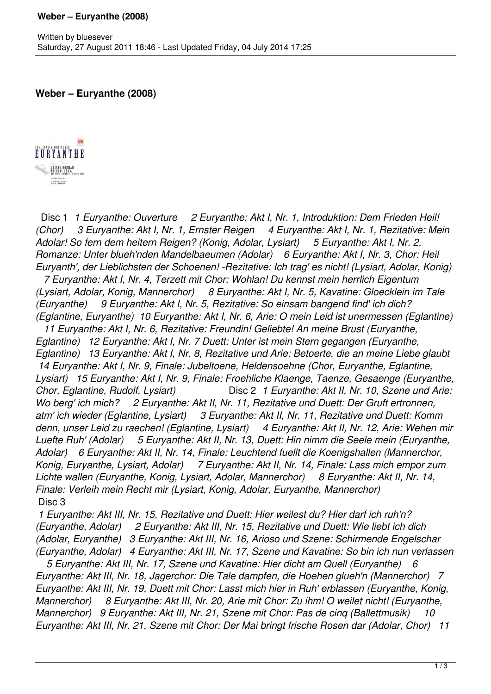**Weber – Euryanthe (2008)**



 Disc 1 *1 Euryanthe: Ouverture 2 Euryanthe: Akt I, Nr. 1, Introduktion: Dem Frieden Heil! (Chor) 3 Euryanthe: Akt I, Nr. 1, Ernster Reigen 4 Euryanthe: Akt I, Nr. 1, Rezitative: Mein Adolar! So fern dem heitern Reigen? (Konig, Adolar, Lysiart) 5 Euryanthe: Akt I, Nr. 2, Romanze: Unter blueh'nden Mandelbaeumen (Adolar) 6 Euryanthe: Akt I, Nr. 3, Chor: Heil Euryanth', der Lieblichsten der Schoenen! -Rezitative: Ich trag' es nicht! (Lysiart, Adolar, Konig)* 

 *7 Euryanthe: Akt I, Nr. 4, Terzett mit Chor: Wohlan! Du kennst mein herrlich Eigentum (Lysiart, Adolar, Konig, Mannerchor) 8 Euryanthe: Akt I, Nr. 5, Kavatine: Gloecklein im Tale (Euryanthe) 9 Euryanthe: Akt I, Nr. 5, Rezitative: So einsam bangend find' ich dich? (Eglantine, Euryanthe) 10 Euryanthe: Akt I, Nr. 6, Arie: O mein Leid ist unermessen (Eglantine)* 

 *11 Euryanthe: Akt I, Nr. 6, Rezitative: Freundin! Geliebte! An meine Brust (Euryanthe, Eglantine) 12 Euryanthe: Akt I, Nr. 7 Duett: Unter ist mein Stern gegangen (Euryanthe, Eglantine) 13 Euryanthe: Akt I, Nr. 8, Rezitative und Arie: Betoerte, die an meine Liebe glaubt 14 Euryanthe: Akt I, Nr. 9, Finale: Jubeltoene, Heldensoehne (Chor, Euryanthe, Eglantine, Lysiart) 15 Euryanthe: Akt I, Nr. 9, Finale: Froehliche Klaenge, Taenze, Gesaenge (Euryanthe, Chor, Eglantine, Rudolf, Lysiart)* Disc 2 *1 Euryanthe: Akt II, Nr. 10, Szene und Arie: Wo berg' ich mich? 2 Euryanthe: Akt II, Nr. 11, Rezitative und Duett: Der Gruft ertronnen, atm' ich wieder (Eglantine, Lysiart) 3 Euryanthe: Akt II, Nr. 11, Rezitative und Duett: Komm denn, unser Leid zu raechen! (Eglantine, Lysiart) 4 Euryanthe: Akt II, Nr. 12, Arie: Wehen mir Luefte Ruh' (Adolar) 5 Euryanthe: Akt II, Nr. 13, Duett: Hin nimm die Seele mein (Euryanthe, Adolar) 6 Euryanthe: Akt II, Nr. 14, Finale: Leuchtend fuellt die Koenigshallen (Mannerchor, Konig, Euryanthe, Lysiart, Adolar) 7 Euryanthe: Akt II, Nr. 14, Finale: Lass mich empor zum Lichte wallen (Euryanthe, Konig, Lysiart, Adolar, Mannerchor) 8 Euryanthe: Akt II, Nr. 14, Finale: Verleih mein Recht mir (Lysiart, Konig, Adolar, Euryanthe, Mannerchor)*  Disc 3

 *1 Euryanthe: Akt III, Nr. 15, Rezitative und Duett: Hier weilest du? Hier darf ich ruh'n? (Euryanthe, Adolar) 2 Euryanthe: Akt III, Nr. 15, Rezitative und Duett: Wie liebt ich dich (Adolar, Euryanthe) 3 Euryanthe: Akt III, Nr. 16, Arioso und Szene: Schirmende Engelschar (Euryanthe, Adolar) 4 Euryanthe: Akt III, Nr. 17, Szene und Kavatine: So bin ich nun verlassen*

 *5 Euryanthe: Akt III, Nr. 17, Szene und Kavatine: Hier dicht am Quell (Euryanthe) 6 Euryanthe: Akt III, Nr. 18, Jagerchor: Die Tale dampfen, die Hoehen glueh'n (Mannerchor) 7 Euryanthe: Akt III, Nr. 19, Duett mit Chor: Lasst mich hier in Ruh' erblassen (Euryanthe, Konig, Mannerchor) 8 Euryanthe: Akt III, Nr. 20, Arie mit Chor: Zu ihm! O weilet nicht! (Euryanthe, Mannerchor) 9 Euryanthe: Akt III, Nr. 21, Szene mit Chor: Pas de cinq (Ballettmusik) 10 Euryanthe: Akt III, Nr. 21, Szene mit Chor: Der Mai bringt frische Rosen dar (Adolar, Chor) 11*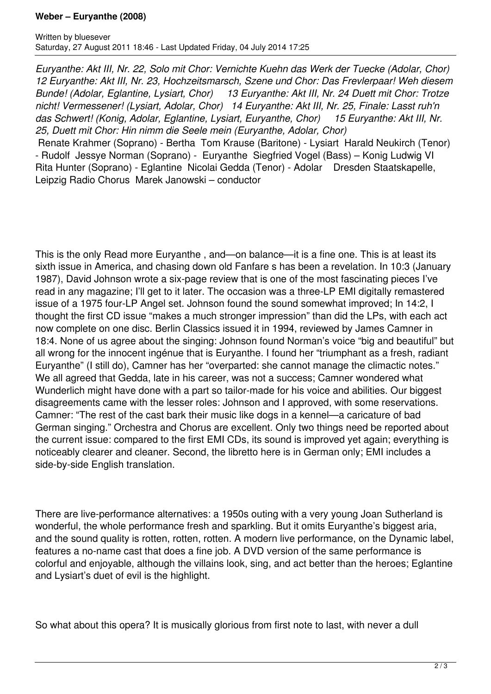## **Weber – Euryanthe (2008)**

*Euryanthe: Akt III, Nr. 22, Solo mit Chor: Vernichte Kuehn das Werk der Tuecke (Adolar, Chor) 12 Euryanthe: Akt III, Nr. 23, Hochzeitsmarsch, Szene und Chor: Das Frevlerpaar! Weh diesem Bunde! (Adolar, Eglantine, Lysiart, Chor) 13 Euryanthe: Akt III, Nr. 24 Duett mit Chor: Trotze nicht! Vermessener! (Lysiart, Adolar, Chor) 14 Euryanthe: Akt III, Nr. 25, Finale: Lasst ruh'n das Schwert! (Konig, Adolar, Eglantine, Lysiart, Euryanthe, Chor) 15 Euryanthe: Akt III, Nr. 25, Duett mit Chor: Hin nimm die Seele mein (Euryanthe, Adolar, Chor)* 

 Renate Krahmer (Soprano) - Bertha Tom Krause (Baritone) - Lysiart Harald Neukirch (Tenor) - Rudolf Jessye Norman (Soprano) - Euryanthe Siegfried Vogel (Bass) – Konig Ludwig VI Rita Hunter (Soprano) - Eglantine Nicolai Gedda (Tenor) - Adolar Dresden Staatskapelle, Leipzig Radio Chorus Marek Janowski – conductor

This is the only Read more Euryanthe , and—on balance—it is a fine one. This is at least its sixth issue in America, and chasing down old Fanfare s has been a revelation. In 10:3 (January 1987), David Johnson wrote a six-page review that is one of the most fascinating pieces I've read in any magazine; I'll get to it later. The occasion was a three-LP EMI digitally remastered issue of a 1975 four-LP Angel set. Johnson found the sound somewhat improved; In 14:2, I thought the first CD issue "makes a much stronger impression" than did the LPs, with each act now complete on one disc. Berlin Classics issued it in 1994, reviewed by James Camner in 18:4. None of us agree about the singing: Johnson found Norman's voice "big and beautiful" but all wrong for the innocent ingénue that is Euryanthe. I found her "triumphant as a fresh, radiant Euryanthe" (I still do), Camner has her "overparted: she cannot manage the climactic notes." We all agreed that Gedda, late in his career, was not a success; Camner wondered what Wunderlich might have done with a part so tailor-made for his voice and abilities. Our biggest disagreements came with the lesser roles: Johnson and I approved, with some reservations. Camner: "The rest of the cast bark their music like dogs in a kennel—a caricature of bad German singing." Orchestra and Chorus are excellent. Only two things need be reported about the current issue: compared to the first EMI CDs, its sound is improved yet again; everything is noticeably clearer and cleaner. Second, the libretto here is in German only; EMI includes a side-by-side English translation.

There are live-performance alternatives: a 1950s outing with a very young Joan Sutherland is wonderful, the whole performance fresh and sparkling. But it omits Euryanthe's biggest aria, and the sound quality is rotten, rotten, rotten. A modern live performance, on the Dynamic label, features a no-name cast that does a fine job. A DVD version of the same performance is colorful and enjoyable, although the villains look, sing, and act better than the heroes; Eglantine and Lysiart's duet of evil is the highlight.

So what about this opera? It is musically glorious from first note to last, with never a dull